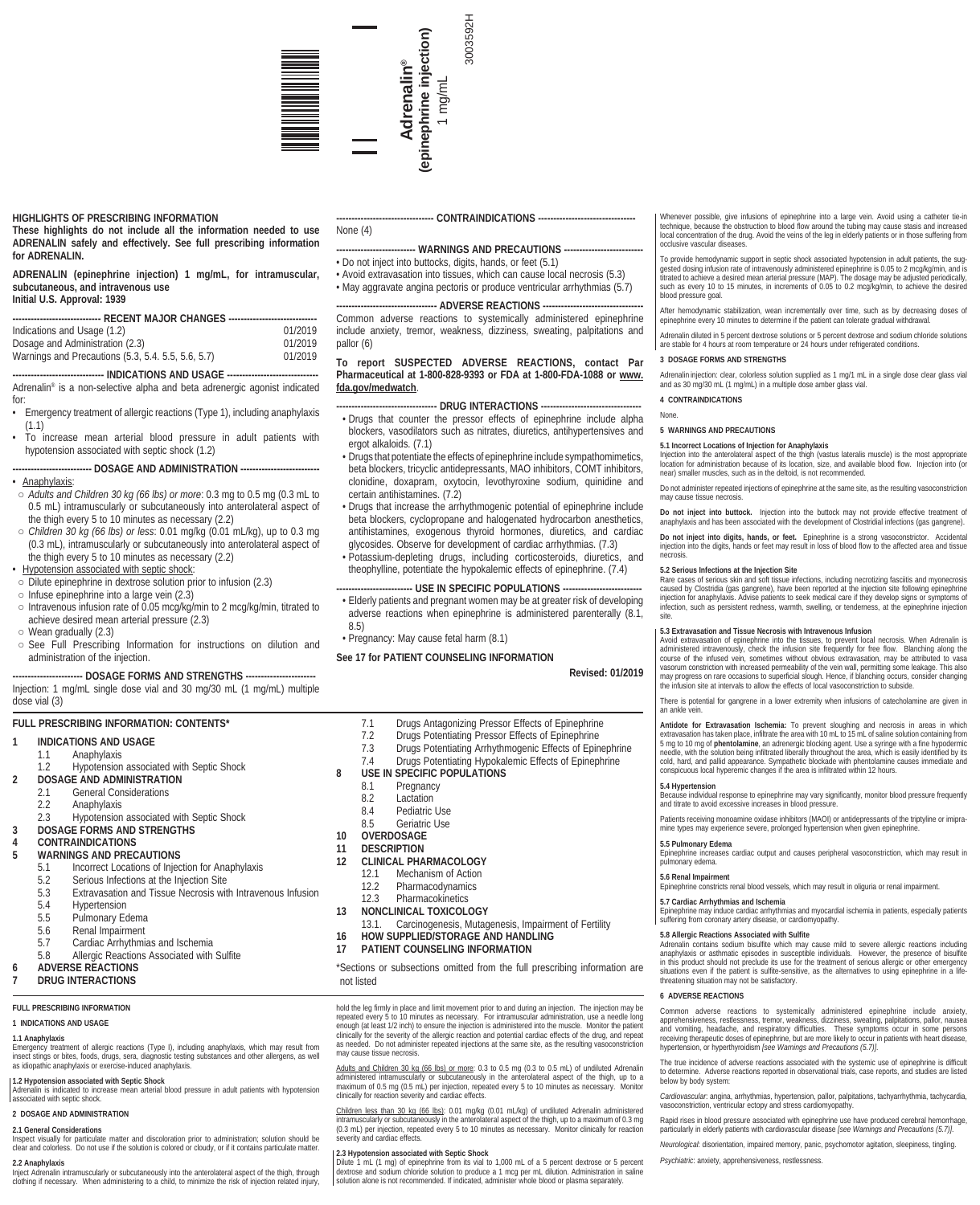

# **HIGHLIGHTS OF PRESCRIBING INFORMATION**

**These highlights do not include all the information needed to use ADRENALIN safely and effectively. See full prescribing information for ADRENALIN.**

**ADRENALIN (epinephrine injection) 1 mg/mL, for intramuscular, subcutaneous, and intravenous use Initial U.S. Approval: 1939**

| Indications and Usage (1.2)                        | 01/2019 |
|----------------------------------------------------|---------|
| Dosage and Administration (2.3)                    | 01/2019 |
| Warnings and Precautions (5.3, 5.4. 5.5, 5.6, 5.7) | 01/2019 |

-- INDICATIONS AND USAGE ------Adrenalin® is a non-selective alpha and beta adrenergic agonist indicated for:

- Emergency treatment of allergic reactions (Type 1), including anaphylaxis (1.1)
- To increase mean arterial blood pressure in adult patients with hypotension associated with septic shock (1.2)

# ----- DOSAGE AND ADMINISTRATION -------

• Anaphylaxis:

- *Adults and Children 30 kg (66 lbs) or more*: 0.3 mg to 0.5 mg (0.3 mL to 0.5 mL) intramuscularly or subcutaneously into anterolateral aspect of the thigh every 5 to 10 minutes as necessary (2.2)
- *Children 30 kg (66 lbs) or less*: 0.01 mg/kg (0.01 mL/kg), up to 0.3 mg (0.3 mL), intramuscularly or subcutaneously into anterolateral aspect of the thigh every 5 to 10 minutes as necessary (2.2)
- Hypotension associated with septic shock:
- Dilute epinephrine in dextrose solution prior to infusion (2.3)
- Infuse epinephrine into a large vein (2.3)
- Intravenous infusion rate of 0.05 mcg/kg/min to 2 mcg/kg/min, titrated to achieve desired mean arterial pressure (2.3)
- Wean gradually (2.3)
- See Full Prescribing Information for instructions on dilution and administration of the injection.

## -- DOSAGE FORMS AND STRENGTHS ---

Injection: 1 mg/mL single dose vial and 30 mg/30 mL (1 mg/mL) multiple dose vial (3)

# **FULL PRESCRIBING INFORMATION: CONTENTS\***

- **1 INDICATIONS AND USAGE**
	-
- 1.1 Anaphylaxis<br>1.2 Hypotension Hypotension associated with Septic Shock
- **2 DOSAGE AND ADMINISTRATION**
- 2.1 General Considerations
- 2.2 Anaphylaxis
- 2.3 Hypotension associated with Septic Shock
- **3 DOSAGE FORMS AND STRENGTHS**

# **4 CONTRAINDICATIONS**

- **WARNINGS AND PRECAUTIONS**<br>5.1 **Incorrect Locations of Injec** 
	- 5.1 Incorrect Locations of Injection for Anaphylaxis<br>5.2 Serious Infections at the Injection Site
	-
	- 5.2 Serious Infections at the Injection Site<br>5.3 Extravasation and Tissue Necrosis with
	- 5.3 Extravasation and Tissue Necrosis with Intravenous Infusion
	- 5.4 Hypertension<br>5.5 Pulmonary Fo Pulmonary Edema
	-
	- 5.6 Renal Impairment<br>5.7 Cardiac Arrhythmia
	- 5.7 Cardiac Arrhythmias and Ischemia 5.8 Allergic Reactions Associated with Sulfite
	- **6 ADVERSE REACTIONS**

# **7 DRUG INTERACTIONS**

# **FULL PRESCRIBING INFORMATION**

# **1 INDICATIONS AND USAGE**

# **1.1 Anaphylaxis**

Emergency treatment of allergic reactions (Type I), including anaphylaxis, which may result from<br>insect stings or bites, foods, drugs, sera, diagnostic testing substances and other allergens, as well<br>as idiopathic anaphyla

# **1.2 Hypotension associated with Septic Shock**

Adrenalin is indicated to increase mean arterial blood pressure in adult patients with hypotension associated with septic shock.

# **2 DOSAGE AND ADMINISTRATION**

# **2.1 General Considerations**

Inspect visually for particulate matter and discoloration prior to administration; solution should be clear and colorless. Do not use if the solution is colored or cloudy, or if it contains particulate matter.

## **2.2 Anaphylaxis**

Inject Adrenalin intramuscularly or subcutaneously into the anterolateral aspect of the thigh, through clothing if necessary. When administering to a child, to minimize the risk of injection related injury,

--- CONTRAINDICATIONS ----

3003592H

# None (4)

## **WARNINGS AND PRECAUTIONS -**• Do not inject into buttocks, digits, hands, or feet (5.1)

• Avoid extravasation into tissues, which can cause local necrosis (5.3) • May aggravate angina pectoris or produce ventricular arrhythmias (5.7)

# --- ADVERSE REACTIONS -

Common adverse reactions to systemically administered epinephrine include anxiety, tremor, weakness, dizziness, sweating, palpitations and pallor (6)

# **To report SUSPECTED ADVERSE REACTIONS, contact Par Pharmaceutical at 1-800-828-9393 or FDA at 1-800-FDA-1088 or www. fda.gov/medwatch**.

# --- DRUG INTERACTIONS --

- Drugs that counter the pressor effects of epinephrine include alpha blockers, vasodilators such as nitrates, diuretics, antihypertensives and ergot alkaloids. (7.1)
- Drugs that potentiate the effects of epinephrine include sympathomimetics, beta blockers, tricyclic antidepressants, MAO inhibitors, COMT inhibitors, clonidine, doxapram, oxytocin, levothyroxine sodium, quinidine and certain antihistamines. (7.2)
- Drugs that increase the arrhythmogenic potential of epinephrine include beta blockers, cyclopropane and halogenated hydrocarbon anesthetics, antihistamines, exogenous thyroid hormones, diuretics, and cardiac glycosides. Observe for development of cardiac arrhythmias. (7.3)
- Potassium-depleting drugs, including corticosteroids, diuretics, and theophylline, potentiate the hypokalemic effects of epinephrine. (7.4)

# ---- USE IN SPECIFIC POPULATIONS ----

• Elderly patients and pregnant women may be at greater risk of developing adverse reactions when epinephrine is administered parenterally (8.1, 8.5)

• Pregnancy: May cause fetal harm (8.1)

# **See 17 for PATIENT COUNSELING INFORMATION**

**Revised: 01/2019**

- 7.1 Drugs Antagonizing Pressor Effects of Epinephrine<br>7.2 Drugs Potentiating Pressor Effects of Epinephrine
- 7.2 Drugs Potentiating Pressor Effects of Epinephrine
- 
- 7.3 Drugs Potentiating Arrhythmogenic Effects of Epinephrine Drugs Potentiating Hypokalemic Effects of Epinephrine
- 
- **8 USE IN SPECIFIC POPULATIONS**<br>8.1 **Pregnancy** 
	- 8.1 Pregnancy<br>8.2 Lactation
	- 8.2 Lactation<br>8.4 Pediatric
	- 8.4 Pediatric Use<br>8.5 Geriatric Use Geriatric Use
- **10 OVERDOSAGE**

# **11 DESCRIPTION**

- **12 CLINICAL PHARMACOLOGY**
	- 12.1 Mechanism of Action<br>12.2 Pharmacodynamics
	-
	- 12.2 Pharmacodynamics<br>12.3 Pharmacokinetics **Pharmacokinetics**
- 
- **13 NONCLINICAL TOXICOLOGY** Carcinogenesis, Mutagenesis, Impairment of Fertility
- **16 HOW SUPPLIED/STORAGE AND HANDLING**
- **17 PATIENT COUNSELING INFORMATION**

\*Sections or subsections omitted from the full prescribing information are not listed

hold the leg firmly in place and limit movement prior to and during an injection. The injection may be repeated every 5 to 10 minutes as necessary. For intramuscular administration, use a needle long<br>enough (at least 1/2 i may cause tissue necrosis.

Adults and Children 30 kg (66 lbs) or more: 0.3 to 0.5 mg (0.3 to 0.5 mL) of undiluted Adrenalin administered intramuscularly or subcutaneously in the anterolateral aspect of the thigh, up to a<br>maximum of 0.5 mg (0.5 mL) per injection, repeated every 5 to 10 minutes as necessary. Monitor<br>clinically for reaction severi

C<u>hildren less than 30 kg (66 lbs)</u>: 0.01 mg/kg (0.01 mL/kg) of undiluted Adrenalin administered<br>intramuscularly or subcutaneously in the anterolateral aspect of the thigh, up to a maximum of 0.3 mg<br>(0.3 mL) per injection, severity and cardiac effects.

2.3 Hypotension associated with Septic Shock<br>Dilute 1 mL (1 mg) of epinephrine from its vial to 1,000 mL of a 5 percent dextrose or 5 percent<br>dextrose and sodium chloride solution to produce a 1 mcg per mL dilution. Admini

Whenever possible, give infusions of epinephrine into a large vein. Avoid using a catheter tie-in technique, because the obstruction to blood flow around the tubing may cause stasis and increased local concentration of the drug. Avoid the veins of the leg in elderly patients or in those suffering from occlusive vascular diseases.

To provide hemodynamic support in septic shock associated hypotension in adult patients, the sug-<br>gested dosing infusion rate of intravenously administered epinephrine is 0.05 to 2 mcg/kg/min, and is<br>titrated to achieve a blood pressure goal.

After hemodynamic stabilization, wean incrementally over time, such as by decreasing doses of epinephrine every 10 minutes to determine if the patient can tolerate gradual withdrawal.

Adrenalin diluted in 5 percent dextrose solutions or 5 percent dextrose and sodium chloride solutions are stable for 4 hours at room temperature or 24 hours under refrigerated conditions.

## **3 DOSAGE FORMS AND STRENGTHS**

**5 WARNINGS AND PRECAUTIONS**

**5.1 Incorrect Locations of Injection for Anaphylaxis**

near) smaller muscles, such as in the deltoid, is not recommended.

**5.3 Extravasation and Tissue Necrosis with Intravenous Infusion**

and titrate to avoid excessive increases in blood pressure.

None.

necrosis.

an ankle vein.

**5.4 Hypertension**

**5.5 Pulmonary Edema**

**6 ADVERSE REACTIONS**

**5.7 Cardiac Arrhythmias and Ischemia**

*Psychiatric*: anxiety, apprehensiveness, restlessness.

pulmonary edema. **5.6 Renal Impairment**

Adrenalin injection: clear, colorless solution supplied as 1 mg/1 mL in a single dose clear glass vial and as 30 mg/30 mL (1 mg/mL) in a multiple dose amber glass vial. **4 CONTRAINDICATIONS**

Injection into the anterolateral aspect of the thigh (vastus lateralis muscle) is the most appropriate location for administration because of its location, size, and available blood flow. Injection into (or

Do not administer repeated injections of epinephrine at the same site, as the resulting vasoconstriction may cause tissue necrosis. **Do not inject into buttock.** Injection into the buttock may not provide effective treatment of anaphylaxis and has been associated with the development of Clostridial infections (gas gangrene). **Do not inject into digits, hands, or feet.** Epinephrine is a strong vasoconstrictor. Accidental injection into the digits, hands or feet may result in loss of blood flow to the affected area and tissue

**5.2 Serious Infections at the Injection Site** Rare cases of serious skin and soft tissue infections, including necrotizing fasciitis and myonecrosis caused by Clostridia (gas gangrene), have been reported at the injection site following epinephrine<br>injection for anaphylaxis. Advise patients to seek medical care if they develop signs or symptoms of<br>infection, such as pe

Avoid extravasation of epinephrine into the tissues, to prevent local necrosis. When Adrenalin is<br>administered intravenously, check the infusion site frequently for free flow. Blanching along the<br>course of the infused vein may progress on rare occasions to superficial slough. Hence, if blanching occurs, consider changing the infusion site at intervals to allow the effects of local vasoconstriction to subside. There is potential for gangrene in a lower extremity when infusions of catecholamine are given in

Antidote for Extravasation Ischemia: To prevent sloughing and necrosis in areas in which<br>extravasation has taken place, infilirate the area with 10 mL to 15 mL of saline solution containing from<br>5 mg to 10 mg of phentolami cold, hard, and pallid appearance. Sympathetic blockade with phentolamine causes immediate and conspicuous local hyperemic changes if the area is infiltrated within 12 hours.

Because individual response to epinephrine may vary significantly, monitor blood pressure frequently

Patients receiving monoamine oxidase inhibitors (MAOI) or antidepressants of the triptyline or imipramine types may experience severe, prolonged hypertension when given epinephrine.

Epinephrine increases cardiac output and causes peripheral vasoconstriction, which may result in

Epinephrine may induce cardiac arrhythmias and myocardial ischemia in patients, especially patients suffering from coronary artery disease, or cardiomyopathy.

5.8 Allergic Reactions Associated with Sulfite<br>Adrenalin contains sodium bisulfile which may cause mild to severe allergic reactions including<br>anaphylaxis or asthmatic episodes in susceptible individuals. However, the pres in this product should not preclude its use for the treatment of serious allergic or other emergency<br>situations even if the patient is sulfite-sensitive, as the alternatives to using epinephrine in a life-<br>threatening situ

Common adverse reactions to systemically administered epinephrine include anxiety, apprehensiveness, restlessness, tremor, weakness, dizziness, swanting, palpitations, pallor, nausea<br>and vomiting, headache, and respiratory

The true incidence of adverse reactions associated with the systemic use of epinephrine is difficult<br>to determine. Adverse reactions reported in observational trials, case reports, and studies are listed<br>below by body sys

*Cardiovascular*: angina, arrhythmias, hypertension, pallor, palpitations, tachyarrhythmia, tachycardia, vasoconstriction, ventricular ectopy and stress cardiomyopathy. Rapid rises in blood pressure associated with epinephrine use have produced cerebral hemorrhage, particularly in elderly patients with cardiovascular disease *[see Warnings and Precautions (5.7)]*. *Neurological*: disorientation, impaired memory, panic, psychomotor agitation, sleepiness, tingling.

Epinephrine constricts renal blood vessels, which may result in oliguria or renal impairment.